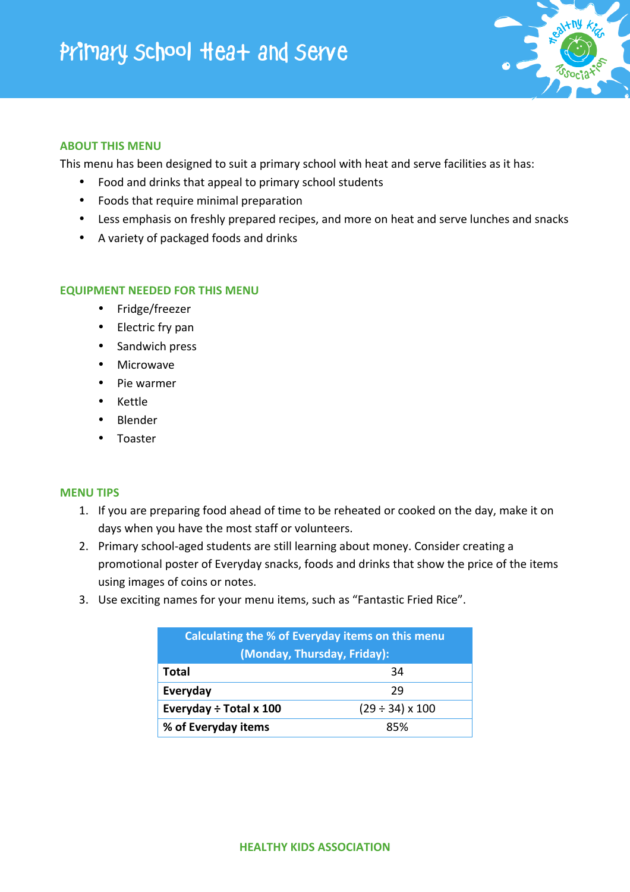

## **ABOUT THIS MENU**

This menu has been designed to suit a primary school with heat and serve facilities as it has:

- Food and drinks that appeal to primary school students
- Foods that require minimal preparation
- Less emphasis on freshly prepared recipes, and more on heat and serve lunches and snacks
- A variety of packaged foods and drinks

## **EQUIPMENT NEEDED FOR THIS MENU**

- Fridge/freezer
- Electric fry pan
- Sandwich press
- Microwave
- Pie warmer
- Kettle
- Blender
- Toaster

## **MENU TIPS**

- 1. If you are preparing food ahead of time to be reheated or cooked on the day, make it on days when you have the most staff or volunteers.
- 2. Primary school-aged students are still learning about money. Consider creating a promotional poster of Everyday snacks, foods and drinks that show the price of the items using images of coins or notes.
- 3. Use exciting names for your menu items, such as "Fantastic Fried Rice".

| Calculating the % of Everyday items on this menu<br>(Monday, Thursday, Friday): |                           |  |
|---------------------------------------------------------------------------------|---------------------------|--|
| Total                                                                           | 34                        |  |
| Everyday                                                                        | 29                        |  |
| Everyday $\div$ Total x 100                                                     | $(29 \div 34) \times 100$ |  |
| % of Everyday items                                                             | 85%                       |  |